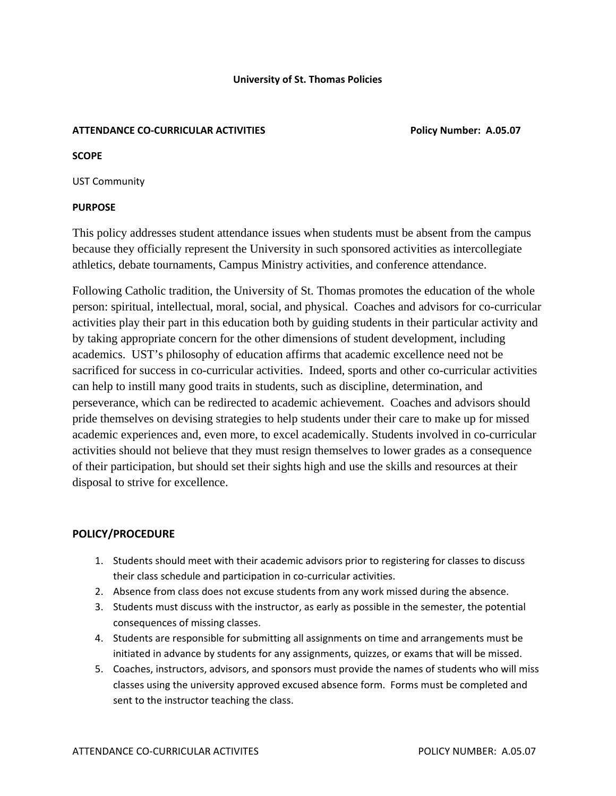## **ATTENDANCE CO‐CURRICULAR ACTIVITIES Policy Number: A.05.07**

#### **SCOPE**

UST Community

### **PURPOSE**

This policy addresses student attendance issues when students must be absent from the campus because they officially represent the University in such sponsored activities as intercollegiate athletics, debate tournaments, Campus Ministry activities, and conference attendance.

Following Catholic tradition, the University of St. Thomas promotes the education of the whole person: spiritual, intellectual, moral, social, and physical. Coaches and advisors for co-curricular activities play their part in this education both by guiding students in their particular activity and by taking appropriate concern for the other dimensions of student development, including academics. UST's philosophy of education affirms that academic excellence need not be sacrificed for success in co-curricular activities. Indeed, sports and other co-curricular activities can help to instill many good traits in students, such as discipline, determination, and perseverance, which can be redirected to academic achievement. Coaches and advisors should pride themselves on devising strategies to help students under their care to make up for missed academic experiences and, even more, to excel academically. Students involved in co-curricular activities should not believe that they must resign themselves to lower grades as a consequence of their participation, but should set their sights high and use the skills and resources at their disposal to strive for excellence.

# **POLICY/PROCEDURE**

- 1. Students should meet with their academic advisors prior to registering for classes to discuss their class schedule and participation in co-curricular activities.
- 2. Absence from class does not excuse students from any work missed during the absence.
- 3. Students must discuss with the instructor, as early as possible in the semester, the potential consequences of missing classes.
- 4. Students are responsible for submitting all assignments on time and arrangements must be initiated in advance by students for any assignments, quizzes, or exams that will be missed.
- 5. Coaches, instructors, advisors, and sponsors must provide the names of students who will miss classes using the university approved excused absence form. Forms must be completed and sent to the instructor teaching the class.